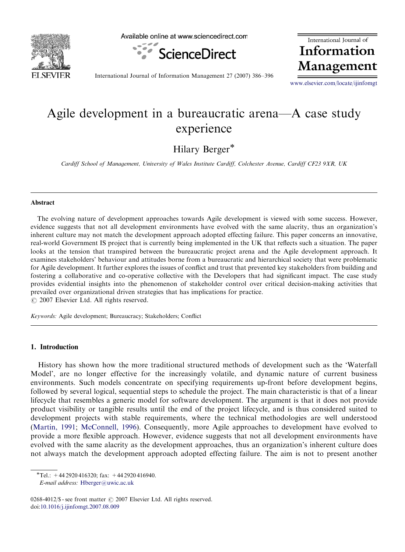

Available online at www.sciencedirect.com



International Journal of Information Management

International Journal of Information Management 27 (2007) 386–396

<www.elsevier.com/locate/ijinfomgt>

## Agile development in a bureaucratic arena—A case study experience

Hilary Berger<sup>\*</sup>

Cardiff School of Management, University of Wales Institute Cardiff, Colchester Avenue, Cardiff CF23 9XR, UK

#### Abstract

The evolving nature of development approaches towards Agile development is viewed with some success. However, evidence suggests that not all development environments have evolved with the same alacrity, thus an organization's inherent culture may not match the development approach adopted effecting failure. This paper concerns an innovative, real-world Government IS project that is currently being implemented in the UK that reflects such a situation. The paper looks at the tension that transpired between the bureaucratic project arena and the Agile development approach. It examines stakeholders' behaviour and attitudes borne from a bureaucratic and hierarchical society that were problematic for Agile development. It further explores the issues of conflict and trust that prevented key stakeholders from building and fostering a collaborative and co-operative collective with the Developers that had significant impact. The case study provides evidential insights into the phenomenon of stakeholder control over critical decision-making activities that prevailed over organizational driven strategies that has implications for practice.  $O$  2007 Elsevier Ltd. All rights reserved.

Keywords: Agile development; Bureaucracy; Stakeholders; Conflict

### 1. Introduction

History has shown how the more traditional structured methods of development such as the 'Waterfall Model', are no longer effective for the increasingly volatile, and dynamic nature of current business environments. Such models concentrate on specifying requirements up-front before development begins, followed by several logical, sequential steps to schedule the project. The main characteristic is that of a linear lifecycle that resembles a generic model for software development. The argument is that it does not provide product visibility or tangible results until the end of the project lifecycle, and is thus considered suited to development projects with stable requirements, where the technical methodologies are well understood ([Martin, 1991;](#page--1-0) [McConnell, 1996\)](#page--1-0). Consequently, more Agile approaches to development have evolved to provide a more flexible approach. However, evidence suggests that not all development environments have evolved with the same alacrity as the development approaches, thus an organization's inherent culture does not always match the development approach adopted effecting failure. The aim is not to present another

E-mail address: [Hberger@uwic.ac.uk](mailto:Hberger@uwic.ac.uk)

 $\overline{\text{Frel}}$ : +44 2920 416320; fax: +44 2920 416940.

<sup>0268-4012/\$ -</sup> see front matter  $\odot$  2007 Elsevier Ltd. All rights reserved. doi[:10.1016/j.ijinfomgt.2007.08.009](dx.doi.org/10.1016/j.ijinfomgt.2007.08.009)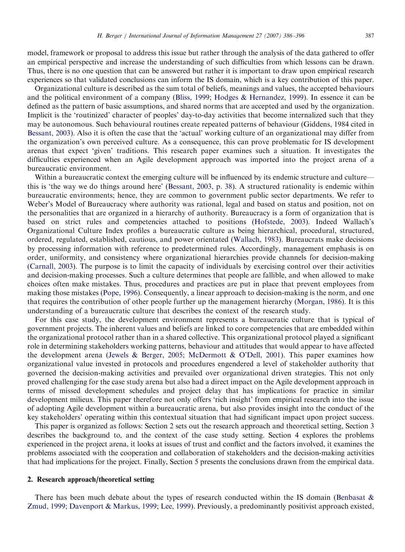model, framework or proposal to address this issue but rather through the analysis of the data gathered to offer an empirical perspective and increase the understanding of such difficulties from which lessons can be drawn. Thus, there is no one question that can be answered but rather it is important to draw upon empirical research experiences so that validated conclusions can inform the IS domain, which is a key contribution of this paper.

Organizational culture is described as the sum total of beliefs, meanings and values, the accepted behaviours and the political environment of a company ([Bliss, 1999;](#page--1-0) [Hodges](#page--1-0) & [Hernandez, 1999](#page--1-0)). In essence it can be defined as the pattern of basic assumptions, and shared norms that are accepted and used by the organization. Implicit is the 'routinized' character of peoples' day-to-day activities that become internalized such that they may be autonomous. Such behavioural routines create repeated patterns of behaviour (Giddens, 1984 cited in [Bessant, 2003\)](#page--1-0). Also it is often the case that the 'actual' working culture of an organizational may differ from the organization's own perceived culture. As a consequence, this can prove problematic for IS development arenas that expect 'given' traditions. This research paper examines such a situation. It investigates the difficulties experienced when an Agile development approach was imported into the project arena of a bureaucratic environment.

Within a bureaucratic context the emerging culture will be influenced by its endemic structure and culture this is 'the way we do things around here' [\(Bessant, 2003, p. 38](#page--1-0)). A structured rationality is endemic within bureaucratic environments; hence, they are common to government public sector departments. We refer to Weber's Model of Bureaucracy where authority was rational, legal and based on status and position, not on the personalities that are organized in a hierarchy of authority. Bureaucracy is a form of organization that is based on strict rules and competencies attached to positions [\(Hofstede, 2003\)](#page--1-0). Indeed Wallach's Organizational Culture Index profiles a bureaucratic culture as being hierarchical, procedural, structured, ordered, regulated, established, cautious, and power orientated ([Wallach, 1983\)](#page--1-0). Bureaucrats make decisions by processing information with reference to predetermined rules. Accordingly, management emphasis is on order, uniformity, and consistency where organizational hierarchies provide channels for decision-making [\(Carnall, 2003](#page--1-0)). The purpose is to limit the capacity of individuals by exercising control over their activities and decision-making processes. Such a culture determines that people are fallible, and when allowed to make choices often make mistakes. Thus, procedures and practices are put in place that prevent employees from making those mistakes ([Pope, 1996](#page--1-0)). Consequently, a linear approach to decision-making is the norm, and one that requires the contribution of other people further up the management hierarchy [\(Morgan, 1986\)](#page--1-0). It is this understanding of a bureaucratic culture that describes the context of the research study.

For this case study, the development environment represents a bureaucratic culture that is typical of government projects. The inherent values and beliefs are linked to core competencies that are embedded within the organizational protocol rather than in a shared collective. This organizational protocol played a significant role in determining stakeholders working patterns, behaviour and attitudes that would appear to have affected the development arena ([Jewels & Berger, 2005;](#page--1-0) [McDermott](#page--1-0) & [O'Dell, 2001\)](#page--1-0). This paper examines how organizational value invested in protocols and procedures engendered a level of stakeholder authority that governed the decision-making activities and prevailed over organizational driven strategies. This not only proved challenging for the case study arena but also had a direct impact on the Agile development approach in terms of missed development schedules and project delay that has implications for practice in similar development milieux. This paper therefore not only offers 'rich insight' from empirical research into the issue of adopting Agile development within a bureaucratic arena, but also provides insight into the conduct of the key stakeholders' operating within this contextual situation that had significant impact upon project success.

This paper is organized as follows: Section 2 sets out the research approach and theoretical setting, Section 3 describes the background to, and the context of the case study setting. Section 4 explores the problems experienced in the project arena, it looks at issues of trust and conflict and the factors involved, it examines the problems associated with the cooperation and collaboration of stakeholders and the decision-making activities that had implications for the project. Finally, Section 5 presents the conclusions drawn from the empirical data.

### 2. Research approach/theoretical setting

There has been much debate about the types of research conducted within the IS domain [\(Benbasat](#page--1-0)  $\&$ [Zmud, 1999;](#page--1-0) [Davenport & Markus, 1999;](#page--1-0) [Lee, 1999\)](#page--1-0). Previously, a predominantly positivist approach existed,